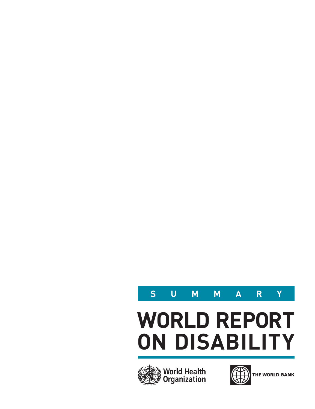

# **WORLD REPORT ON DISABILITY**





THE WORLD BANK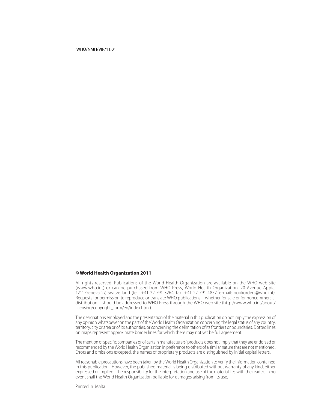#### WHO/NMH/VIP/11.01

#### **© World Health Organization 2011**

All rights reserved. Publications of the World Health Organization are available on the WHO web site [\(www.who.int\)](http://www.who.int) or can be purchased from WHO Press, World Health Organization, 20 Avenue Appia, 1211 Geneva 27, Switzerland (tel.: +41 22 791 3264; fax: +41 22 791 4857; e-mail: [bookorders@who.int](mailto:bookorders@who.int )). Requests for permission to reproduce or translate WHO publications – whether for sale or for noncommercial distribution – should be addressed to WHO Press through the WHO web site [\(http://www.who.int/about/](http://www.who.int/about/licensing/copyright_form/en/index.html ) [licensing/copyright\\_form/en/index.html\)](http://www.who.int/about/licensing/copyright_form/en/index.html ).

The designations employed and the presentation of the material in this publication do not imply the expression of any opinion whatsoever on the part of the World Health Organization concerning the legal status of any country, territory, city or area or of its authorities, or concerning the delimitation of its frontiers or boundaries. Dotted lines on maps represent approximate border lines for which there may not yet be full agreement.

The mention of specific companies or of certain manufacturers' products does not imply that they are endorsed or recommended by the World Health Organization in preference to others of a similar nature that are not mentioned. Errors and omissions excepted, the names of proprietary products are distinguished by initial capital letters.

All reasonable precautions have been taken by the World Health Organization to verify the information contained in this publication. However, the published material is being distributed without warranty of any kind, either expressed or implied. The responsibility for the interpretation and use of the material lies with the reader. In no event shall the World Health Organization be liable for damages arising from its use.

Printed in Malta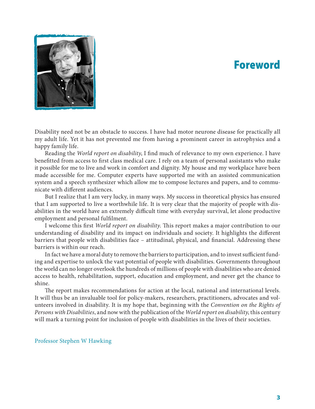# Foreword



Disability need not be an obstacle to success. I have had motor neurone disease for practically all my adult life. Yet it has not prevented me from having a prominent career in astrophysics and a happy family life.

Reading the *World report on disability*, I find much of relevance to my own experience. I have benefitted from access to first class medical care. I rely on a team of personal assistants who make it possible for me to live and work in comfort and dignity. My house and my workplace have been made accessible for me. Computer experts have supported me with an assisted communication system and a speech synthesizer which allow me to compose lectures and papers, and to communicate with different audiences.

But I realize that I am very lucky, in many ways. My success in theoretical physics has ensured that I am supported to live a worthwhile life. It is very clear that the majority of people with disabilities in the world have an extremely difficult time with everyday survival, let alone productive employment and personal fulfilment.

I welcome this first *World report on disability*. This report makes a major contribution to our understanding of disability and its impact on individuals and society. It highlights the different barriers that people with disabilities face – attitudinal, physical, and financial. Addressing these barriers is within our reach.

In fact we have a moral duty to remove the barriers to participation, and to invest sufficient funding and expertise to unlock the vast potential of people with disabilities. Governments throughout the world can no longer overlook the hundreds of millions of people with disabilities who are denied access to health, rehabilitation, support, education and employment, and never get the chance to shine.

The report makes recommendations for action at the local, national and international levels. It will thus be an invaluable tool for policy-makers, researchers, practitioners, advocates and volunteers involved in disability. It is my hope that, beginning with the *Convention on the Rights of Persons with Disabilities*, and now with the publication of the *World report on disability*, this century will mark a turning point for inclusion of people with disabilities in the lives of their societies.

Professor Stephen W Hawking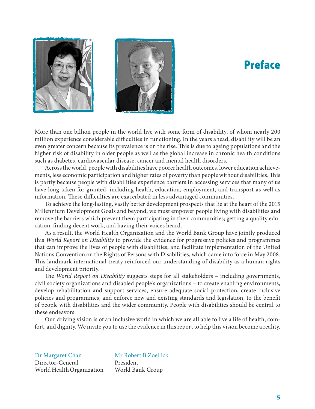# Preface





More than one billion people in the world live with some form of disability, of whom nearly 200 million experience considerable difficulties in functioning. In the years ahead, disability will be an even greater concern because its prevalence is on the rise. This is due to ageing populations and the higher risk of disability in older people as well as the global increase in chronic health conditions such as diabetes, cardiovascular disease, cancer and mental health disorders.

Across the world, people with disabilities have poorer health outcomes, lower education achievements, less economic participation and higher rates of poverty than people without disabilities. This is partly because people with disabilities experience barriers in accessing services that many of us have long taken for granted, including health, education, employment, and transport as well as information. These difficulties are exacerbated in less advantaged communities.

To achieve the long-lasting, vastly better development prospects that lie at the heart of the 2015 Millennium Development Goals and beyond, we must empower people living with disabilities and remove the barriers which prevent them participating in their communities; getting a quality education, finding decent work, and having their voices heard.

As a result, the World Health Organization and the World Bank Group have jointly produced this *World Report on Disability* to provide the evidence for progressive policies and programmes that can improve the lives of people with disabilities, and facilitate implementation of the United Nations Convention on the Rights of Persons with Disabilities, which came into force in May 2008. This landmark international treaty reinforced our understanding of disability as a human rights and development priority.

The *World Report on Disability* suggests steps for all stakeholders – including governments, civil society organizations and disabled people's organizations – to create enabling environments, develop rehabilitation and support services, ensure adequate social protection, create inclusive policies and programmes, and enforce new and existing standards and legislation, to the benefit of people with disabilities and the wider community. People with disabilities should be central to these endeavors.

Our driving vision is of an inclusive world in which we are all able to live a life of health, comfort, and dignity. We invite you to use the evidence in this report to help this vision become a reality.

Dr Margaret Chan Director-General World Health Organization

Mr Robert B Zoellick President World Bank Group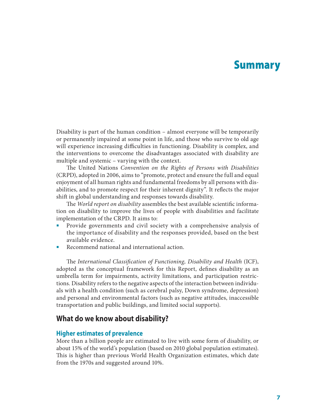# Summary

Disability is part of the human condition – almost everyone will be temporarily or permanently impaired at some point in life, and those who survive to old age will experience increasing difficulties in functioning. Disability is complex, and the interventions to overcome the disadvantages associated with disability are multiple and systemic – varying with the context.

The United Nations *Convention on the Rights of Persons with Disabilities* (CRPD), adopted in 2006, aims to "promote, protect and ensure the full and equal enjoyment of all human rights and fundamental freedoms by all persons with disabilities, and to promote respect for their inherent dignity". It reflects the major shift in global understanding and responses towards disability.

The *World report on disability* assembles the best available scientific information on disability to improve the lives of people with disabilities and facilitate implementation of the CRPD. It aims to:

- Provide governments and civil society with a comprehensive analysis of the importance of disability and the responses provided, based on the best available evidence.
- Recommend national and international action.

The *International Classification of Functioning, Disability and Health* (ICF), adopted as the conceptual framework for this Report, defines disability as an umbrella term for impairments, activity limitations, and participation restrictions. Disability refers to the negative aspects of the interaction between individuals with a health condition (such as cerebral palsy, Down syndrome, depression) and personal and environmental factors (such as negative attitudes, inaccessible transportation and public buildings, and limited social supports).

### **What do we know about disability?**

#### **Higher estimates of prevalence**

More than a billion people are estimated to live with some form of disability, or about 15% of the world's population (based on 2010 global population estimates). This is higher than previous World Health Organization estimates, which date from the 1970s and suggested around 10%.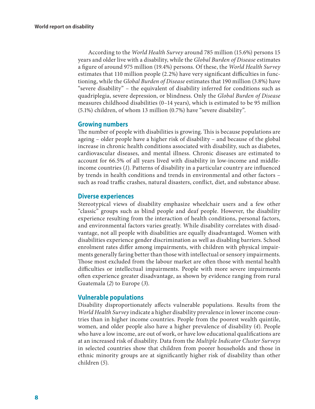According to the *World Health Survey* around 785 million (15.6%) persons 15 years and older live with a disability, while the *Global Burden of Disease* estimates a figure of around 975 million (19.4%) persons. Of these, the *World Health Survey* estimates that 110 million people (2.2%) have very significant difficulties in functioning, while the *Global Burden of Disease* estimates that 190 million (3.8%) have "severe disability" – the equivalent of disability inferred for conditions such as quadriplegia, severe depression, or blindness. Only the *Global Burden of Disease* measures childhood disabilities (0–14 years), which is estimated to be 95 million (5.1%) children, of whom 13 million (0.7%) have "severe disability".

### **Growing numbers**

The number of people with disabilities is growing. This is because populations are ageing – older people have a higher risk of disability – and because of the global increase in chronic health conditions associated with disability, such as diabetes, cardiovascular diseases, and mental illness. Chronic diseases are estimated to account for 66.5% of all years lived with disability in low-income and middleincome countries (*[1](#page-22-0)*). Patterns of disability in a particular country are influenced by trends in health conditions and trends in environmental and other factors – such as road traffic crashes, natural disasters, conflict, diet, and substance abuse.

### **Diverse experiences**

Stereotypical views of disability emphasize wheelchair users and a few other "classic" groups such as blind people and deaf people. However, the disability experience resulting from the interaction of health conditions, personal factors, and environmental factors varies greatly. While disability correlates with disadvantage, not all people with disabilities are equally disadvantaged. Women with disabilities experience gender discrimination as well as disabling barriers. School enrolment rates differ among impairments, with children with physical impairments generally faring better than those with intellectual or sensory impairments. Those most excluded from the labour market are often those with mental health difficulties or intellectual impairments. People with more severe impairments often experience greater disadvantage, as shown by evidence ranging from rural Guatemala (*[2](#page-22-1)*) to Europe (*[3](#page-22-2)*).

### **Vulnerable populations**

Disability disproportionately affects vulnerable populations. Results from the *World Health Survey* indicate a higher disability prevalence in lower income countries than in higher income countries. People from the poorest wealth quintile, women, and older people also have a higher prevalence of disability (*[4](#page-22-3)*). People who have a low income, are out of work, or have low educational qualifications are at an increased risk of disability. Data from the *Multiple Indicator Cluster Surveys* in selected countries show that children from poorer households and those in ethnic minority groups are at significantly higher risk of disability than other children (*[5](#page-22-4)*).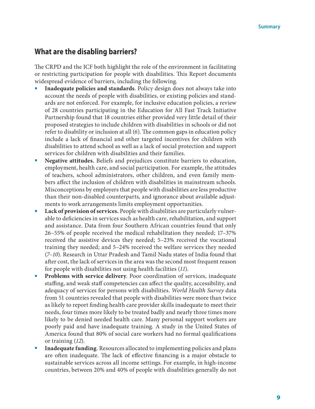### **What are the disabling barriers?**

The CRPD and the ICF both highlight the role of the environment in facilitating or restricting participation for people with disabilities. This Report documents widespread evidence of barriers, including the following.

- Inadequate policies and standards. Policy design does not always take into account the needs of people with disabilities, or existing policies and standards are not enforced. For example, for inclusive education policies, a review of 28 countries participating in the Education for All Fast Track Initiative Partnership found that 18 countries either provided very little detail of their proposed strategies to include children with disabilities in schools or did not refer to disability or inclusion at all (*[6](#page-22-5)*). The common gaps in education policy include a lack of financial and other targeted incentives for children with disabilities to attend school as well as a lack of social protection and support services for children with disabilities and their families.
- **Negative attitudes.** Beliefs and prejudices constitute barriers to education, employment, health care, and social participation. For example, the attitudes of teachers, school administrators, other children, and even family members affect the inclusion of children with disabilities in mainstream schools. Misconceptions by employers that people with disabilities are less productive than their non-disabled counterparts, and ignorance about available adjustments to work arrangements limits employment opportunities.
- **Lack of provision of services.** People with disabilities are particularly vulnerable to deficiencies in services such as health care, rehabilitation, and support and assistance. Data from four Southern African countries found that only 26–55% of people received the medical rehabilitation they needed; 17–37% received the assistive devices they needed; 5–23% received the vocational training they needed; and 5–24% received the welfare services they needed (*[7](#page-22-6)*–*[10](#page-22-7)*). Research in Uttar Pradesh and Tamil Nadu states of India found that after cost, the lack of services in the area was the second most frequent reason for people with disabilities not using health facilities (*[11](#page-22-8)*).
- **Problems with service delivery**. Poor coordination of services, inadequate staffing, and weak staff competencies can affect the quality, accessibility, and adequacy of services for persons with disabilities. *World Health Survey* data from 51 countries revealed that people with disabilities were more than twice as likely to report finding health care provider skills inadequate to meet their needs, four times more likely to be treated badly and nearly three times more likely to be denied needed health care. Many personal support workers are poorly paid and have inadequate training. A study in the United States of America found that 80% of social care workers had no formal qualifications or training (*[12](#page-22-9)*).
- **Inadequate funding**. Resources allocated to implementing policies and plans are often inadequate. The lack of effective financing is a major obstacle to sustainable services across all income settings. For example, in high-income countries, between 20% and 40% of people with disabilities generally do not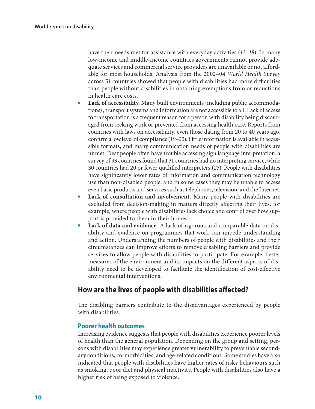have their needs met for assistance with everyday activities (*[13](#page-23-0)*–*[18](#page-23-1)*). In many low-income and middle-income countries governments cannot provide adequate services and commercial service providers are unavailable or not affordable for most households. Analysis from the 2002–04 *World Health Survey* across 51 countries showed that people with disabilities had more difficulties than people without disabilities in obtaining exemptions from or reductions in health care costs.

- Lack of accessibility. Many built environments (including public accommodations) , transport systems and information are not accessible to all. Lack of access to transportation is a frequent reason for a person with disability being discouraged from seeking work or prevented from accessing health care. Reports from countries with laws on accessibility, even those dating from 20 to 40 years ago, confirm a low level of compliance (*[19](#page-23-2)*–*[22](#page-23-3)*). Little information is available in accessible formats, and many communication needs of people with disabilities are unmet. Deaf people often have trouble accessing sign language interpretation: a survey of 93 countries found that 31 countries had no interpreting service, while 30 countries had 20 or fewer qualified interpreters (*[23](#page-23-4)*). People with disabilities have significantly lower rates of information and communication technology use than non-disabled people, and in some cases they may be unable to access even basic products and services such as telephones, television, and the Internet.
- **Lack of consultation and involvement.** Many people with disabilities are excluded from decision-making in matters directly affecting their lives, for example, where people with disabilities lack choice and control over how support is provided to them in their homes.
- Lack of data and evidence. A lack of rigorous and comparable data on disability and evidence on programmes that work can impede understanding and action. Understanding the numbers of people with disabilities and their circumstances can improve efforts to remove disabling barriers and provide services to allow people with disabilities to participate. For example, better measures of the environment and its impacts on the different aspects of disability need to be developed to facilitate the identification of cost-effective environmental interventions.

### **How are the lives of people with disabilities affected?**

The disabling barriers contribute to the disadvantages experienced by people with disabilities.

### **Poorer health outcomes**

Increasing evidence suggests that people with disabilities experience poorer levels of health than the general population. Depending on the group and setting, persons with disabilities may experience greater vulnerability to preventable secondary conditions, co-morbidities, and age-related conditions. Some studies have also indicated that people with disabilities have higher rates of risky behaviours such as smoking, poor diet and physical inactivity. People with disabilities also have a higher risk of being exposed to violence.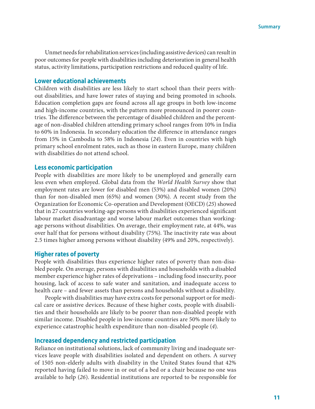Unmet needs for rehabilitation services (including assistive devices) can result in poor outcomes for people with disabilities including deterioration in general health status, activity limitations, participation restrictions and reduced quality of life.

#### **Lower educational achievements**

Children with disabilities are less likely to start school than their peers without disabilities, and have lower rates of staying and being promoted in schools. Education completion gaps are found across all age groups in both low-income and high-income countries, with the pattern more pronounced in poorer countries. The difference between the percentage of disabled children and the percentage of non-disabled children attending primary school ranges from 10% in India to 60% in Indonesia. In secondary education the difference in attendance ranges from 15% in Cambodia to 58% in Indonesia (*[24](#page-23-5)*). Even in countries with high primary school enrolment rates, such as those in eastern Europe, many children with disabilities do not attend school.

#### **Less economic participation**

People with disabilities are more likely to be unemployed and generally earn less even when employed. Global data from the *World Health Survey* show that employment rates are lower for disabled men (53%) and disabled women (20%) than for non-disabled men (65%) and women (30%). A recent study from the Organization for Economic Co-operation and Development (OECD) (*[25](#page-23-6)*) showed that in 27 countries working-age persons with disabilities experienced significant labour market disadvantage and worse labour market outcomes than workingage persons without disabilities. On average, their employment rate, at 44%, was over half that for persons without disability (75%). The inactivity rate was about 2.5 times higher among persons without disability (49% and 20%, respectively).

#### **Higher rates of poverty**

People with disabilities thus experience higher rates of poverty than non-disabled people. On average, persons with disabilities and households with a disabled member experience higher rates of deprivations – including food insecurity, poor housing, lack of access to safe water and sanitation, and inadequate access to health care – and fewer assets than persons and households without a disability.

People with disabilities may have extra costs for personal support or for medical care or assistive devices. Because of these higher costs, people with disabilities and their households are likely to be poorer than non-disabled people with similar income. Disabled people in low-income countries are 50% more likely to experience catastrophic health expenditure than non-disabled people (*[4](#page-22-3)*).

#### **Increased dependency and restricted participation**

Reliance on institutional solutions, lack of community living and inadequate services leave people with disabilities isolated and dependent on others. A survey of 1505 non-elderly adults with disability in the United States found that 42% reported having failed to move in or out of a bed or a chair because no one was available to help (*[26](#page-23-7)*). Residential institutions are reported to be responsible for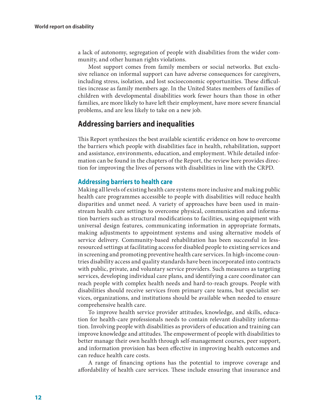a lack of autonomy, segregation of people with disabilities from the wider community, and other human rights violations.

Most support comes from family members or social networks. But exclusive reliance on informal support can have adverse consequences for caregivers, including stress, isolation, and lost socioeconomic opportunities. These difficulties increase as family members age. In the United States members of families of children with developmental disabilities work fewer hours than those in other families, are more likely to have left their employment, have more severe financial problems, and are less likely to take on a new job.

### **Addressing barriers and inequalities**

This Report synthesizes the best available scientific evidence on how to overcome the barriers which people with disabilities face in health, rehabilitation, support and assistance, environments, education, and employment. While detailed information can be found in the chapters of the Report, the review here provides direction for improving the lives of persons with disabilities in line with the CRPD.

### **Addressing barriers to health care**

Making all levels of existing health care systems more inclusive and making public health care programmes accessible to people with disabilities will reduce health disparities and unmet need. A variety of approaches have been used in mainstream health care settings to overcome physical, communication and information barriers such as structural modifications to facilities, using equipment with universal design features, communicating information in appropriate formats, making adjustments to appointment systems and using alternative models of service delivery. Community-based rehabilitation has been successful in lessresourced settings at facilitating access for disabled people to existing services and in screening and promoting preventive health care services. In high-income countries disability access and quality standards have been incorporated into contracts with public, private, and voluntary service providers. Such measures as targeting services, developing individual care plans, and identifying a care coordinator can reach people with complex health needs and hard-to-reach groups. People with disabilities should receive services from primary care teams, but specialist services, organizations, and institutions should be available when needed to ensure comprehensive health care.

To improve health service provider attitudes, knowledge, and skills, education for health-care professionals needs to contain relevant disability information. Involving people with disabilities as providers of education and training can improve knowledge and attitudes. The empowerment of people with disabilities to better manage their own health through self-management courses, peer support, and information provision has been effective in improving health outcomes and can reduce health care costs.

A range of financing options has the potential to improve coverage and affordability of health care services. These include ensuring that insurance and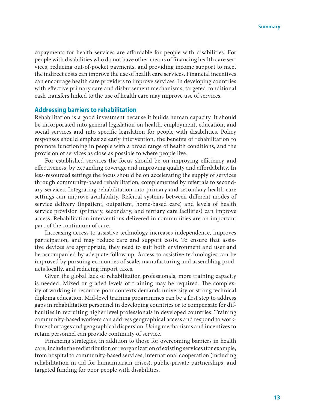copayments for health services are affordable for people with disabilities. For people with disabilities who do not have other means of financing health care services, reducing out-of-pocket payments, and providing income support to meet the indirect costs can improve the use of health care services. Financial incentives can encourage health care providers to improve services. In developing countries with effective primary care and disbursement mechanisms, targeted conditional cash transfers linked to the use of health care may improve use of services.

#### **Addressing barriers to rehabilitation**

Rehabilitation is a good investment because it builds human capacity. It should be incorporated into general legislation on health, employment, education, and social services and into specific legislation for people with disabilities. Policy responses should emphasize early intervention, the benefits of rehabilitation to promote functioning in people with a broad range of health conditions, and the provision of services as close as possible to where people live.

For established services the focus should be on improving efficiency and effectiveness, by expanding coverage and improving quality and affordability. In less-resourced settings the focus should be on accelerating the supply of services through community-based rehabilitation, complemented by referrals to secondary services. Integrating rehabilitation into primary and secondary health care settings can improve availability. Referral systems between different modes of service delivery (inpatient, outpatient, home-based care) and levels of health service provision (primary, secondary, and tertiary care facilities) can improve access. Rehabilitation interventions delivered in communities are an important part of the continuum of care.

Increasing access to assistive technology increases independence, improves participation, and may reduce care and support costs. To ensure that assistive devices are appropriate, they need to suit both environment and user and be accompanied by adequate follow-up. Access to assistive technologies can be improved by pursuing economies of scale, manufacturing and assembling products locally, and reducing import taxes.

Given the global lack of rehabilitation professionals, more training capacity is needed. Mixed or graded levels of training may be required. The complexity of working in resource-poor contexts demands university or strong technical diploma education. Mid-level training programmes can be a first step to address gaps in rehabilitation personnel in developing countries or to compensate for difficulties in recruiting higher level professionals in developed countries. Training community-based workers can address geographical access and respond to workforce shortages and geographical dispersion. Using mechanisms and incentives to retain personnel can provide continuity of service.

Financing strategies, in addition to those for overcoming barriers in health care, include the redistribution or reorganization of existing services (for example, from hospital to community-based services, international cooperation (including rehabilitation in aid for humanitarian crises), public-private partnerships, and targeted funding for poor people with disabilities.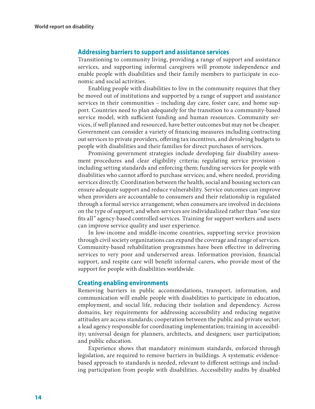#### **Addressing barriers to support and assistance services**

Transitioning to community living, providing a range of support and assistance services, and supporting informal caregivers will promote independence and enable people with disabilities and their family members to participate in economic and social activities.

Enabling people with disabilities to live in the community requires that they be moved out of institutions and supported by a range of support and assistance services in their communities – including day care, foster care, and home support. Countries need to plan adequately for the transition to a community-based service model, with sufficient funding and human resources. Community services, if well planned and resourced, have better outcomes but may not be cheaper. Government can consider a variety of financing measures including contracting out services to private providers, offering tax incentives, and devolving budgets to people with disabilities and their families for direct purchases of services.

Promising government strategies include developing fair disability assessment procedures and clear eligibility criteria; regulating service provision including setting standards and enforcing them; funding services for people with disabilities who cannot afford to purchase services; and, where needed, providing services directly. Coordination between the health, social and housing sectors can ensure adequate support and reduce vulnerability. Service outcomes can improve when providers are accountable to consumers and their relationship is regulated through a formal service arrangement; when consumers are involved in decisions on the type of support; and when services are individualized rather than "one size fits all" agency-based controlled services. Training for support workers and users can improve service quality and user experience.

In low-income and middle-income countries, supporting service provision through civil society organizations can expand the coverage and range of services. Community-based rehabilitation programmes have been effective in delivering services to very poor and underserved areas. Information provision, financial support, and respite care will benefit informal carers, who provide most of the support for people with disabilities worldwide.

#### **Creating enabling environments**

Removing barriers in public accommodations, transport, information, and communication will enable people with disabilities to participate in education, employment, and social life, reducing their isolation and dependency. Across domains, key requirements for addressing accessibility and reducing negative attitudes are access standards; cooperation between the public and private sector; a lead agency responsible for coordinating implementation; training in accessibility; universal design for planners, architects, and designers; user participation; and public education.

Experience shows that mandatory minimum standards, enforced through legislation, are required to remove barriers in buildings. A systematic evidencebased approach to standards is needed, relevant to different settings and including participation from people with disabilities. Accessibility audits by disabled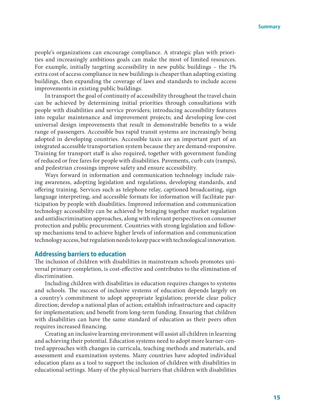people's organizations can encourage compliance. A strategic plan with priorities and increasingly ambitious goals can make the most of limited resources. For example, initially targeting accessibility in new public buildings – the 1% extra cost of access compliance in new buildings is cheaper than adapting existing buildings, then expanding the coverage of laws and standards to include access improvements in existing public buildings.

In transport the goal of continuity of accessibility throughout the travel chain can be achieved by determining initial priorities through consultations with people with disabilities and service providers; introducing accessibility features into regular maintenance and improvement projects; and developing low-cost universal design improvements that result in demonstrable benefits to a wide range of passengers. Accessible bus rapid transit systems are increasingly being adopted in developing countries. Accessible taxis are an important part of an integrated accessible transportation system because they are demand-responsive. Training for transport staff is also required, together with government funding of reduced or free fares for people with disabilities. Pavements, curb cuts (ramps), and pedestrian crossings improve safety and ensure accessibility.

Ways forward in information and communication technology include raising awareness, adopting legislation and regulations, developing standards, and offering training. Services such as telephone relay, captioned broadcasting, sign language interpreting, and accessible formats for information will facilitate participation by people with disabilities. Improved information and communication technology accessibility can be achieved by bringing together market regulation and antidiscrimination approaches, along with relevant perspectives on consumer protection and public procurement. Countries with strong legislation and followup mechanisms tend to achieve higher levels of information and communication technology access, but regulation needs to keep pace with technological innovation.

#### **Addressing barriers to education**

The inclusion of children with disabilities in mainstream schools promotes universal primary completion, is cost-effective and contributes to the elimination of discrimination.

Including children with disabilities in education requires changes to systems and schools. The success of inclusive systems of education depends largely on a country's commitment to adopt appropriate legislation; provide clear policy direction; develop a national plan of action; establish infrastructure and capacity for implementation; and benefit from long-term funding. Ensuring that children with disabilities can have the same standard of education as their peers often requires increased financing.

Creating an inclusive learning environment will assist all children in learning and achieving their potential. Education systems need to adopt more learner-centred approaches with changes in curricula, teaching methods and materials, and assessment and examination systems. Many countries have adopted individual education plans as a tool to support the inclusion of children with disabilities in educational settings. Many of the physical barriers that children with disabilities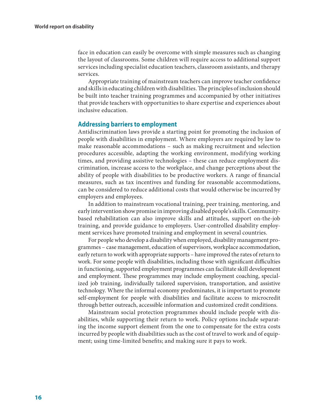face in education can easily be overcome with simple measures such as changing the layout of classrooms. Some children will require access to additional support services including specialist education teachers, classroom assistants, and therapy services.

Appropriate training of mainstream teachers can improve teacher confidence and skills in educating children with disabilities. The principles of inclusion should be built into teacher training programmes and accompanied by other initiatives that provide teachers with opportunities to share expertise and experiences about inclusive education.

### **Addressing barriers to employment**

Antidiscrimination laws provide a starting point for promoting the inclusion of people with disabilities in employment. Where employers are required by law to make reasonable accommodations – such as making recruitment and selection procedures accessible, adapting the working environment, modifying working times, and providing assistive technologies – these can reduce employment discrimination, increase access to the workplace, and change perceptions about the ability of people with disabilities to be productive workers. A range of financial measures, such as tax incentives and funding for reasonable accommodations, can be considered to reduce additional costs that would otherwise be incurred by employers and employees.

In addition to mainstream vocational training, peer training, mentoring, and early intervention show promise in improving disabled people's skills. Communitybased rehabilitation can also improve skills and attitudes, support on-the-job training, and provide guidance to employers. User-controlled disability employment services have promoted training and employment in several countries.

For people who develop a disability when employed, disability management programmes – case management, education of supervisors, workplace accommodation, early return to work with appropriate supports – have improved the rates of return to work. For some people with disabilities, including those with significant difficulties in functioning, supported employment programmes can facilitate skill development and employment. These programmes may include employment coaching, specialized job training, individually tailored supervision, transportation, and assistive technology. Where the informal economy predominates, it is important to promote self-employment for people with disabilities and facilitate access to microcredit through better outreach, accessible information and customized credit conditions.

Mainstream social protection programmes should include people with disabilities, while supporting their return to work. Policy options include separating the income support element from the one to compensate for the extra costs incurred by people with disabilities such as the cost of travel to work and of equipment; using time-limited benefits; and making sure it pays to work.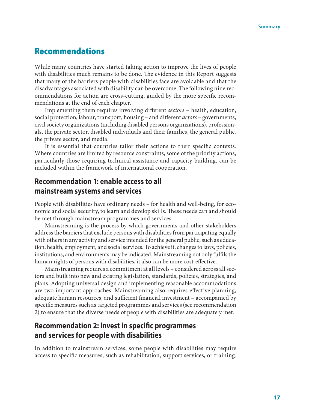### Recommendations

While many countries have started taking action to improve the lives of people with disabilities much remains to be done. The evidence in this Report suggests that many of the barriers people with disabilities face are avoidable and that the disadvantages associated with disability can be overcome. The following nine recommendations for action are cross-cutting, guided by the more specific recommendations at the end of each chapter.

Implementing them requires involving different *sectors* – health, education, social protection, labour, transport, housing – and different *actors* – governments, civil society organizations (including disabled persons organizations), professionals, the private sector, disabled individuals and their families, the general public, the private sector, and media.

It is essential that countries tailor their actions to their specific contexts. Where countries are limited by resource constraints, some of the priority actions, particularly those requiring technical assistance and capacity building, can be included within the framework of international cooperation.

### **Recommendation 1: enable access to all mainstream systems and services**

People with disabilities have ordinary needs – for health and well-being, for economic and social security, to learn and develop skills. These needs can and should be met through mainstream programmes and services.

Mainstreaming is the process by which governments and other stakeholders address the barriers that exclude persons with disabilities from participating equally with others in any activity and service intended for the general public, such as education, health, employment, and social services. To achieve it, changes to laws, policies, institutions, and environments may be indicated. Mainstreaming not only fulfils the human rights of persons with disabilities, it also can be more cost-effective.

Mainstreaming requires a commitment at all levels – considered across all sectors and built into new and existing legislation, standards, policies, strategies, and plans. Adopting universal design and implementing reasonable accommodations are two important approaches. Mainstreaming also requires effective planning, adequate human resources, and sufficient financial investment – accompanied by specific measures such as targeted programmes and services (see recommendation 2) to ensure that the diverse needs of people with disabilities are adequately met.

### **Recommendation 2: invest in specific programmes and services for people with disabilities**

In addition to mainstream services, some people with disabilities may require access to specific measures, such as rehabilitation, support services, or training.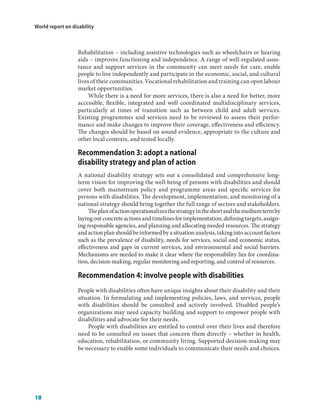Rehabilitation – including assistive technologies such as wheelchairs or hearing aids – improves functioning and independence. A range of well-regulated assistance and support services in the community can meet needs for care, enable people to live independently and participate in the economic, social, and cultural lives of their communities. Vocational rehabilitation and training can open labour market opportunities.

While there is a need for more services, there is also a need for better, more accessible, flexible, integrated and well coordinated multidisciplinary services, particularly at times of transition such as between child and adult services. Existing programmes and services need to be reviewed to assess their performance and make changes to improve their coverage, effectiveness and efficiency. The changes should be based on sound evidence, appropriate to the culture and other local contexts, and tested locally.

### **Recommendation 3: adopt a national disability strategy and plan of action**

A national disability strategy sets out a consolidated and comprehensive longterm vision for improving the well-being of persons with disabilities and should cover both mainstream policy and programme areas and specific services for persons with disabilities. The development, implementation, and monitoring of a national strategy should bring together the full range of sectors and stakeholders.

The plan of action operationalizes the strategy in the short and the medium term by laying out concrete actions and timelines for implementation, defining targets, assigning responsible agencies, and planning and allocating needed resources. The strategy and action plan should be informed by a situation analysis, taking into account factors such as the prevalence of disability, needs for services, social and economic status, effectiveness and gaps in current services, and environmental and social barriers. Mechanisms are needed to make it clear where the responsibility lies for coordination, decision-making, regular monitoring and reporting, and control of resources.

### **Recommendation 4: involve people with disabilities**

People with disabilities often have unique insights about their disability and their situation. In formulating and implementing policies, laws, and services, people with disabilities should be consulted and actively involved. Disabled people's organizations may need capacity building and support to empower people with disabilities and advocate for their needs.

People with disabilities are entitled to control over their lives and therefore need to be consulted on issues that concern them directly – whether in health, education, rehabilitation, or community living. Supported decision-making may be necessary to enable some individuals to communicate their needs and choices.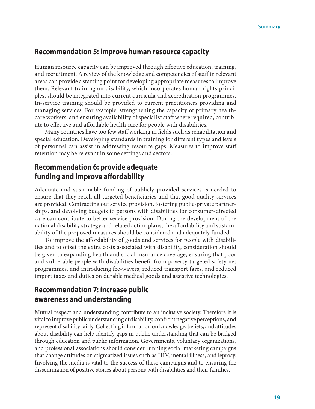### **Recommendation 5: improve human resource capacity**

Human resource capacity can be improved through effective education, training, and recruitment. A review of the knowledge and competencies of staff in relevant areas can provide a starting point for developing appropriate measures to improve them. Relevant training on disability, which incorporates human rights principles, should be integrated into current curricula and accreditation programmes. In-service training should be provided to current practitioners providing and managing services. For example, strengthening the capacity of primary healthcare workers, and ensuring availability of specialist staff where required, contribute to effective and affordable health care for people with disabilities.

Many countries have too few staff working in fields such as rehabilitation and special education. Developing standards in training for different types and levels of personnel can assist in addressing resource gaps. Measures to improve staff retention may be relevant in some settings and sectors.

### **Recommendation 6: provide adequate funding and improve affordability**

Adequate and sustainable funding of publicly provided services is needed to ensure that they reach all targeted beneficiaries and that good quality services are provided. Contracting out service provision, fostering public-private partnerships, and devolving budgets to persons with disabilities for consumer-directed care can contribute to better service provision. During the development of the national disability strategy and related action plans, the affordability and sustainability of the proposed measures should be considered and adequately funded.

To improve the affordability of goods and services for people with disabilities and to offset the extra costs associated with disability, consideration should be given to expanding health and social insurance coverage, ensuring that poor and vulnerable people with disabilities benefit from poverty-targeted safety net programmes, and introducing fee-wavers, reduced transport fares, and reduced import taxes and duties on durable medical goods and assistive technologies.

### **Recommendation 7: increase public awareness and understanding**

Mutual respect and understanding contribute to an inclusive society. Therefore it is vital to improve public understanding of disability, confront negative perceptions, and represent disability fairly. Collecting information on knowledge, beliefs, and attitudes about disability can help identify gaps in public understanding that can be bridged through education and public information. Governments, voluntary organizations, and professional associations should consider running social marketing campaigns that change attitudes on stigmatized issues such as HIV, mental illness, and leprosy. Involving the media is vital to the success of these campaigns and to ensuring the dissemination of positive stories about persons with disabilities and their families.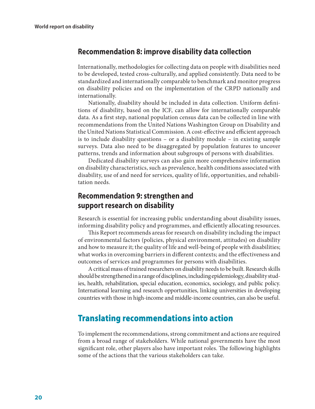### **Recommendation 8: improve disability data collection**

Internationally, methodologies for collecting data on people with disabilities need to be developed, tested cross-culturally, and applied consistently. Data need to be standardized and internationally comparable to benchmark and monitor progress on disability policies and on the implementation of the CRPD nationally and internationally.

Nationally, disability should be included in data collection. Uniform definitions of disability, based on the ICF, can allow for internationally comparable data. As a first step, national population census data can be collected in line with recommendations from the United Nations Washington Group on Disability and the United Nations Statistical Commission. A cost-effective and efficient approach is to include disability questions – or a disability module – in existing sample surveys. Data also need to be disaggregated by population features to uncover patterns, trends and information about subgroups of persons with disabilities.

Dedicated disability surveys can also gain more comprehensive information on disability characteristics, such as prevalence, health conditions associated with disability, use of and need for services, quality of life, opportunities, and rehabilitation needs.

### **Recommendation 9: strengthen and support research on disability**

Research is essential for increasing public understanding about disability issues, informing disability policy and programmes, and efficiently allocating resources.

This Report recommends areas for research on disability including the impact of environmental factors (policies, physical environment, attitudes) on disability and how to measure it; the quality of life and well-being of people with disabilities; what works in overcoming barriers in different contexts; and the effectiveness and outcomes of services and programmes for persons with disabilities.

A critical mass of trained researchers on disability needs to be built. Research skills should be strengthened in a range of disciplines, including epidemiology, disability studies, health, rehabilitation, special education, economics, sociology, and public policy. International learning and research opportunities, linking universities in developing countries with those in high-income and middle-income countries, can also be useful.

### Translating recommendations into action

To implement the recommendations, strong commitment and actions are required from a broad range of stakeholders. While national governments have the most significant role, other players also have important roles. The following highlights some of the actions that the various stakeholders can take.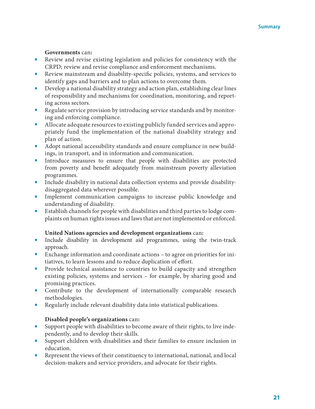### **Governments** can**:**

- Review and revise existing legislation and policies for consistency with the CRPD; review and revise compliance and enforcement mechanisms.
- Review mainstream and disability-specific policies, systems, and services to identify gaps and barriers and to plan actions to overcome them.
- Develop a national disability strategy and action plan, establishing clear lines of responsibility and mechanisms for coordination, monitoring, and reporting across sectors.
- Regulate service provision by introducing service standards and by monitoring and enforcing compliance.
- Allocate adequate resources to existing publicly funded services and appropriately fund the implementation of the national disability strategy and plan of action.
- Adopt national accessibility standards and ensure compliance in new buildings, in transport, and in information and communication.
- Introduce measures to ensure that people with disabilities are protected from poverty and benefit adequately from mainstream poverty alleviation programmes.
- Include disability in national data collection systems and provide disabilitydisaggregated data wherever possible.
- Implement communication campaigns to increase public knowledge and understanding of disability.
- Establish channels for people with disabilities and third parties to lodge complaints on human rights issues and laws that are not implemented or enforced.

### **United Nations agencies and development organizations** can**:**

- Include disability in development aid programmes, using the twin-track approach.
- Exchange information and coordinate actions to agree on priorities for initiatives, to learn lessons and to reduce duplication of effort.
- Provide technical assistance to countries to build capacity and strengthen existing policies, systems and services – for example, by sharing good and promising practices.
- Contribute to the development of internationally comparable research methodologies.
- Regularly include relevant disability data into statistical publications.

### **Disabled people's organizations** can**:**

- Support people with disabilities to become aware of their rights, to live independently, and to develop their skills.
- Support children with disabilities and their families to ensure inclusion in education.
- Represent the views of their constituency to international, national, and local decision-makers and service providers, and advocate for their rights.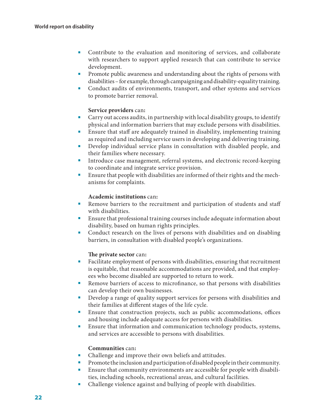- Contribute to the evaluation and monitoring of services, and collaborate with researchers to support applied research that can contribute to service development.
- Promote public awareness and understanding about the rights of persons with disabilities – for example, through campaigning and disability-equality training.
- Conduct audits of environments, transport, and other systems and services to promote barrier removal.

### **Service providers** can**:**

- Carry out access audits, in partnership with local disability groups, to identify physical and information barriers that may exclude persons with disabilities.
- Ensure that staff are adequately trained in disability, implementing training as required and including service users in developing and delivering training.
- Develop individual service plans in consultation with disabled people, and their families where necessary.
- Introduce case management, referral systems, and electronic record-keeping to coordinate and integrate service provision.
- Ensure that people with disabilities are informed of their rights and the mechanisms for complaints.

### **Academic institutions** can**:**

- Remove barriers to the recruitment and participation of students and staff with disabilities.
- Ensure that professional training courses include adequate information about disability, based on human rights principles.
- Conduct research on the lives of persons with disabilities and on disabling barriers, in consultation with disabled people's organizations.

### **The private sector** can**:**

- Facilitate employment of persons with disabilities, ensuring that recruitment is equitable, that reasonable accommodations are provided, and that employees who become disabled are supported to return to work.
- Remove barriers of access to microfinance, so that persons with disabilities can develop their own businesses.
- Develop a range of quality support services for persons with disabilities and their families at different stages of the life cycle.
- Ensure that construction projects, such as public accommodations, offices and housing include adequate access for persons with disabilities.
- Ensure that information and communication technology products, systems, and services are accessible to persons with disabilities.

#### **Communities** can**:**

- Challenge and improve their own beliefs and attitudes.
- Promote the inclusion and participation of disabled people in their community.
- Ensure that community environments are accessible for people with disabilities, including schools, recreational areas, and cultural facilities.
- Challenge violence against and bullying of people with disabilities.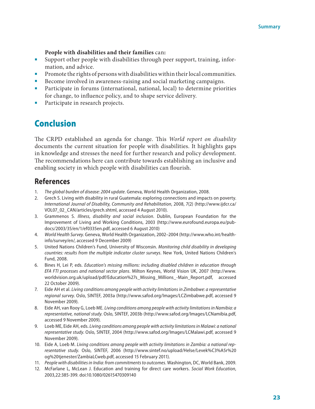#### **People with disabilities and their families** can**:**

- Support other people with disabilities through peer support, training, information, and advice.
- Promote the rights of persons with disabilities within their local communities.
- Become involved in awareness-raising and social marketing campaigns.
- Participate in forums (international, national, local) to determine priorities for change, to influence policy, and to shape service delivery.
- Participate in research projects.

### Conclusion

The CRPD established an agenda for change. This *World report on disability* documents the current situation for people with disabilities. It highlights gaps in knowledge and stresses the need for further research and policy development. The recommendations here can contribute towards establishing an inclusive and enabling society in which people with disabilities can flourish.

### **References**

- <span id="page-22-0"></span>1. *The global burden of disease: 2004 update*. Geneva, World Health Organization, 2008.
- <span id="page-22-1"></span>2. Grech S. Living with disability in rural Guatemala: exploring connections and impacts on poverty. *International Journal of Disability, Community and Rehabilitation*, 2008, 7(2) ([http://www.ijdcr.ca/](http://www.ijdcr.ca/VOL07_02_CAN/articles/grech.shtml) [VOL07\\_02\\_CAN/articles/grech.shtml](http://www.ijdcr.ca/VOL07_02_CAN/articles/grech.shtml), accessed 4 August 2010).
- <span id="page-22-2"></span>3. Grammenos S. *Illness, disability and social inclusion*. Dublin, European Foundation for the Improvement of Living and Working Conditions, 2003 [\(http://www.eurofound.europa.eu/pub](http://www.eurofound.europa.eu/pubdocs/2003/35/en/1/ef0335en.pdf)[docs/2003/35/en/1/ef0335en.pdf](http://www.eurofound.europa.eu/pubdocs/2003/35/en/1/ef0335en.pdf), accessed 6 August 2010)
- <span id="page-22-3"></span>4. *World Health Survey*. Geneva, World Health Organization, 2002–2004 [\(http://www.who.int/health](http://www.who.int/healthinfo/survey/en/)[info/survey/en/](http://www.who.int/healthinfo/survey/en/), accessed 9 December 2009)
- <span id="page-22-4"></span>5. United Nations Children's Fund, University of Wisconsin. *Monitoring child disability in developing countries: results from the multiple indicator cluster surveys*. New York, United Nations Children's Fund, 2008.
- <span id="page-22-5"></span>6. Bines H, Lei P, eds. *Education's missing millions: including disabled children in education through EFA FTI processes and national sector plans*. Milton Keynes, World Vision UK, 2007 [\(http://www.](http://www.worldvision.org.uk/upload/pdf/Education%27s_Missing_Millions_-Main_Report.pdf) [worldvision.org.uk/upload/pdf/Education%27s\\_Missing\\_Millions\\_-Main\\_Report.pdf,](http://www.worldvision.org.uk/upload/pdf/Education%27s_Missing_Millions_-Main_Report.pdf) accessed 22 October 2009).
- <span id="page-22-6"></span>7. Eide AH et al. *Living conditions among people with activity limitations in Zimbabwe: a representative regional survey*. Oslo, SINTEF, 2003a (<http://www.safod.org/Images/LCZimbabwe.pdf>, accessed 9 November 2009).
- 8. Eide AH, van Rooy G, Loeb ME. *Living conditions among people with activity limitations in Namibia: a representative, national study*. Oslo, SINTEF, 2003b (<http://www.safod.org/Images/LCNamibia.pdf>, accessed 9 November 2009).
- 9. Loeb ME, Eide AH, eds. *Living conditions among people with activity limitations in Malawi: a national representative study*. Oslo, SINTEF, 2004 ([http://www.safod.org/Images/LCMalawi.pdf,](http://www.safod.org/Images/LCMalawi.pdf) accessed 9 November 2009).
- <span id="page-22-7"></span>10. Eide A, Loeb M. *Living conditions among people with activity limitations in Zambia: a national representative study*. Oslo, SINTEF, 2006 ([http://www.sintef.no/upload/Helse/Levek%C3%A5r%20](http://www.sintef.no/upload/Helse/Levek%C3%A5r%20og%20tjenester/ZambiaLCweb.pdf) [og%20tjenester/ZambiaLCweb.pdf](http://www.sintef.no/upload/Helse/Levek%C3%A5r%20og%20tjenester/ZambiaLCweb.pdf), accessed 15 February 2011).
- <span id="page-22-8"></span>11. *People with disabilities in India: from commitments to outcomes*. Washington, DC, World Bank, 2009.
- <span id="page-22-9"></span>12. McFarlane L, McLean J. Education and training for direct care workers. *Social Work Education*, 2003,22:385-399. doi[:10.1080/02615470309140](http://dx.doi.org/10.1080/02615470309140)